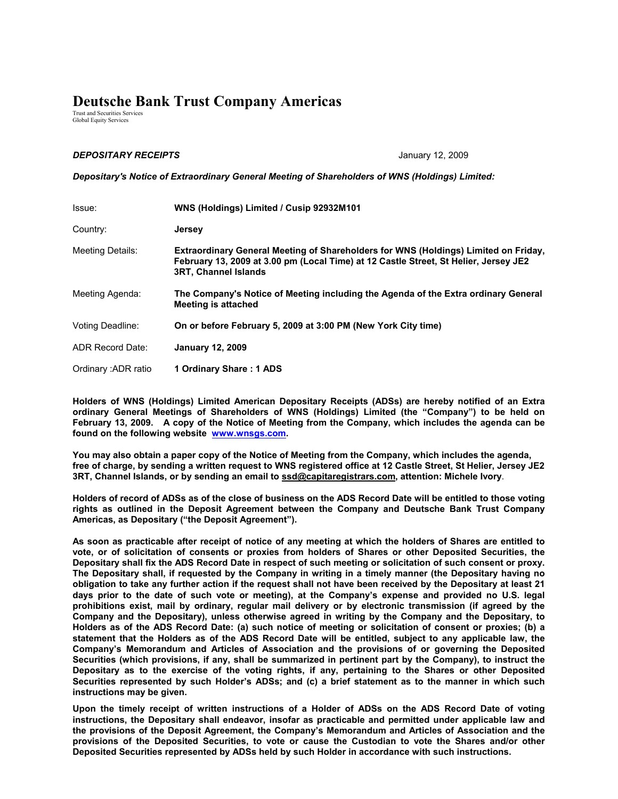## **Deutsche Bank Trust Company Americas**

Trust and Securities Services Global Equity Services

## *DEPOSITARY RECEIPTS* January 12, 2009

*Depositary's Notice of Extraordinary General Meeting of Shareholders of WNS (Holdings) Limited:*

| Issue:              | WNS (Holdings) Limited / Cusip 92932M101                                                                                                                                                                          |
|---------------------|-------------------------------------------------------------------------------------------------------------------------------------------------------------------------------------------------------------------|
| Country:            | <b>Jersey</b>                                                                                                                                                                                                     |
| Meeting Details:    | <b>Extraordinary General Meeting of Shareholders for WNS (Holdings) Limited on Friday,</b><br>February 13, 2009 at 3.00 pm (Local Time) at 12 Castle Street, St Helier, Jersey JE2<br><b>3RT, Channel Islands</b> |
| Meeting Agenda:     | The Company's Notice of Meeting including the Agenda of the Extra ordinary General<br><b>Meeting is attached</b>                                                                                                  |
| Voting Deadline:    | On or before February 5, 2009 at 3:00 PM (New York City time)                                                                                                                                                     |
| ADR Record Date:    | <b>January 12, 2009</b>                                                                                                                                                                                           |
| Ordinary: ADR ratio | 1 Ordinary Share: 1 ADS                                                                                                                                                                                           |

**Holders of WNS (Holdings) Limited American Depositary Receipts (ADSs) are hereby notified of an Extra ordinary General Meetings of Shareholders of WNS (Holdings) Limited (the "Company") to be held on February 13, 2009. A copy of the Notice of Meeting from the Company, which includes the agenda can be found on the following website www.wnsgs.com.** 

**You may also obtain a paper copy of the Notice of Meeting from the Company, which includes the agenda, free of charge, by sending a written request to WNS registered office at 12 Castle Street, St Helier, Jersey JE2 3RT, Channel Islands, or by sending an email to ssd@capitaregistrars.com, attention: Michele Ivory**.

**Holders of record of ADSs as of the close of business on the ADS Record Date will be entitled to those voting rights as outlined in the Deposit Agreement between the Company and Deutsche Bank Trust Company Americas, as Depositary ("the Deposit Agreement").** 

**As soon as practicable after receipt of notice of any meeting at which the holders of Shares are entitled to vote, or of solicitation of consents or proxies from holders of Shares or other Deposited Securities, the Depositary shall fix the ADS Record Date in respect of such meeting or solicitation of such consent or proxy. The Depositary shall, if requested by the Company in writing in a timely manner (the Depositary having no obligation to take any further action if the request shall not have been received by the Depositary at least 21 days prior to the date of such vote or meeting), at the Company's expense and provided no U.S. legal prohibitions exist, mail by ordinary, regular mail delivery or by electronic transmission (if agreed by the Company and the Depositary), unless otherwise agreed in writing by the Company and the Depositary, to Holders as of the ADS Record Date: (a) such notice of meeting or solicitation of consent or proxies; (b) a statement that the Holders as of the ADS Record Date will be entitled, subject to any applicable law, the Company's Memorandum and Articles of Association and the provisions of or governing the Deposited Securities (which provisions, if any, shall be summarized in pertinent part by the Company), to instruct the Depositary as to the exercise of the voting rights, if any, pertaining to the Shares or other Deposited Securities represented by such Holder's ADSs; and (c) a brief statement as to the manner in which such instructions may be given.** 

**Upon the timely receipt of written instructions of a Holder of ADSs on the ADS Record Date of voting instructions, the Depositary shall endeavor, insofar as practicable and permitted under applicable law and the provisions of the Deposit Agreement, the Company's Memorandum and Articles of Association and the provisions of the Deposited Securities, to vote or cause the Custodian to vote the Shares and/or other Deposited Securities represented by ADSs held by such Holder in accordance with such instructions.**